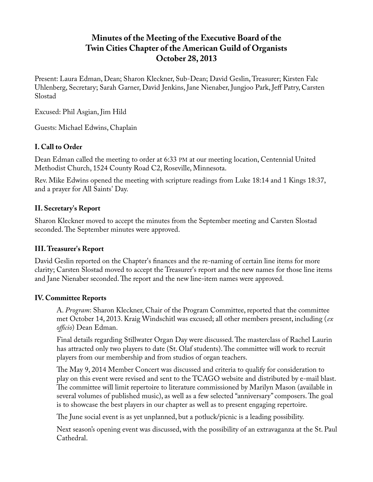# **Minutes of the Meeting of the Executive Board of the Twin Cities Chapter of the American Guild of Organists October 28, 2013**

Present: Laura Edman, Dean; Sharon Kleckner, Sub-Dean; David Geslin, Treasurer; Kirsten Falc Uhlenberg, Secretary; Sarah Garner, David Jenkins, Jane Nienaber, Jungjoo Park, Jeff Patry, Carsten Slostad

Excused: Phil Asgian, Jim Hild

Guests: Michael Edwins, Chaplain

## **I. Call to Order**

Dean Edman called the meeting to order at 6:33 PM at our meeting location, Centennial United Methodist Church, 1524 County Road C2, Roseville, Minnesota.

Rev. Mike Edwins opened the meeting with scripture readings from Luke 18:14 and 1 Kings 18:37, and a prayer for All Saints' Day.

### **II. Secretary's Report**

Sharon Kleckner moved to accept the minutes from the September meeting and Carsten Slostad seconded. The September minutes were approved.

### **III. Treasurer's Report**

David Geslin reported on the Chapter's finances and the re-naming of certain line items for more clarity; Carsten Slostad moved to accept the Treasurer's report and the new names for those line items and Jane Nienaber seconded. The report and the new line-item names were approved.

### **IV. Committee Reports**

A. *Program*: Sharon Kleckner, Chair of the Program Committee, reported that the committee met October 14, 2013. Kraig Windschitl was excused; all other members present, including (*ex officio*) Dean Edman.

Final details regarding Stillwater Organ Day were discussed. The masterclass of Rachel Laurin has attracted only two players to date (St. Olaf students). The committee will work to recruit players from our membership and from studios of organ teachers.

The May 9, 2014 Member Concert was discussed and criteria to qualify for consideration to play on this event were revised and sent to the TCAGO website and distributed by e-mail blast. The committee will limit repertoire to literature commissioned by Marilyn Mason (available in several volumes of published music), as well as a few selected "anniversary" composers. The goal is to showcase the best players in our chapter as well as to present engaging repertoire.

The June social event is as yet unplanned, but a potluck/picnic is a leading possibility.

Next season's opening event was discussed, with the possibility of an extravaganza at the St. Paul Cathedral.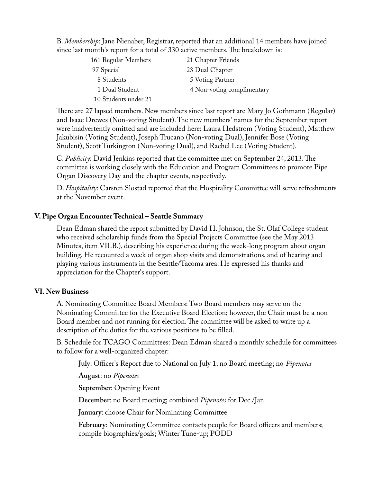B. *Membership*: Jane Nienaber, Registrar, reported that an additional 14 members have joined since last month's report for a total of 330 active members. The breakdown is:

| 161 Regular Members  | 21 Chapter Friends         |
|----------------------|----------------------------|
| 97 Special           | 23 Dual Chapter            |
| 8 Students           | 5 Voting Partner           |
| 1 Dual Student       | 4 Non-voting complimentary |
| 10 Students under 21 |                            |

There are 27 lapsed members. New members since last report are Mary Jo Gothmann (Regular) and Isaac Drewes (Non-voting Student). The new members' names for the September report were inadvertently omitted and are included here: Laura Hedstrom (Voting Student), Matthew Jakubisin (Voting Student), Joseph Trucano (Non-voting Dual), Jennifer Bose (Voting Student), Scott Turkington (Non-voting Dual), and Rachel Lee (Voting Student).

C. *Publicity*: David Jenkins reported that the committee met on September 24, 2013. The committee is working closely with the Education and Program Committees to promote Pipe Organ Discovery Day and the chapter events, respectively.

D. *Hospitality*: Carsten Slostad reported that the Hospitality Committee will serve refreshments at the November event.

#### **V. Pipe Organ Encounter Technical – Seattle Summary**

Dean Edman shared the report submitted by David H. Johnson, the St. Olaf College student who received scholarship funds from the Special Projects Committee (see the May 2013 Minutes, item VII.B.), describing his experience during the week-long program about organ building. He recounted a week of organ shop visits and demonstrations, and of hearing and playing various instruments in the Seattle/Tacoma area. He expressed his thanks and appreciation for the Chapter's support.

#### **VI. New Business**

A. Nominating Committee Board Members: Two Board members may serve on the Nominating Committee for the Executive Board Election; however, the Chair must be a non-Board member and not running for election. The committee will be asked to write up a description of the duties for the various positions to be filled.

B. Schedule for TCAGO Committees: Dean Edman shared a monthly schedule for committees to follow for a well-organized chapter:

**July**: Officer's Report due to National on July 1; no Board meeting; no *Pipenotes*

**August**: no *Pipenotes*

**September**: Opening Event

**December**: no Board meeting; combined *Pipenotes* for Dec./Jan.

**January**: choose Chair for Nominating Committee

**February**: Nominating Committee contacts people for Board officers and members; compile biographies/goals; Winter Tune-up; PODD